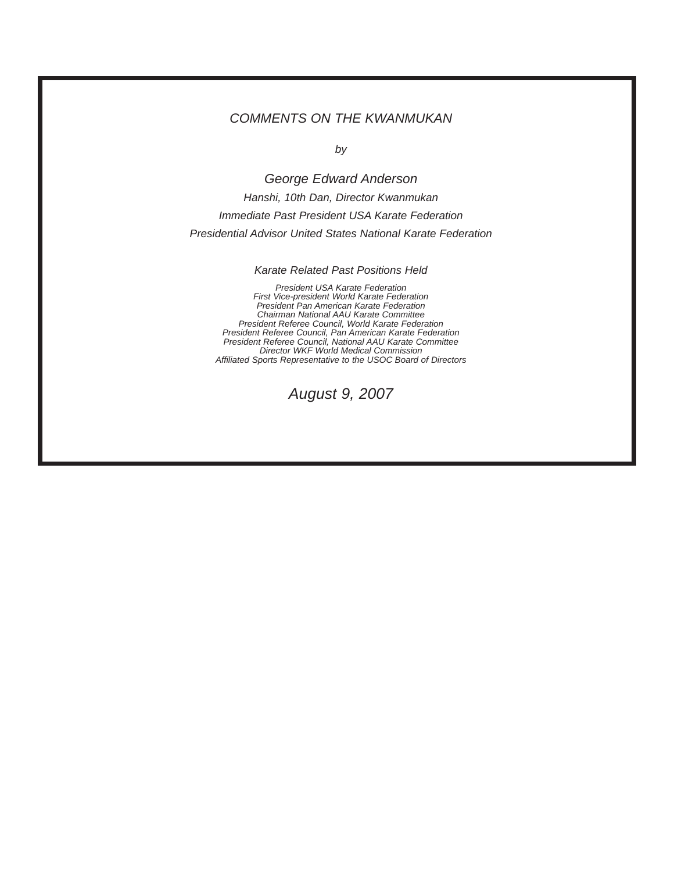## *COMMENTS ON THE KWANMUKAN*

*by*

*George Edward Anderson Hanshi, 10th Dan, Director Kwanmukan Immediate Past President USA Karate Federation Presidential Advisor United States National Karate Federation*

*Karate Related Past Positions Held*

*President USA Karate Federation First Vice-president World Karate Federation President Pan American Karate Federation Chairman National AAU Karate Committee President Referee Council, World Karate Federation President Referee Council, Pan American Karate Federation President Referee Council, National AAU Karate Committee Director WKF World Medical Commission Affiliated Sports Representative to the USOC Board of Directors*

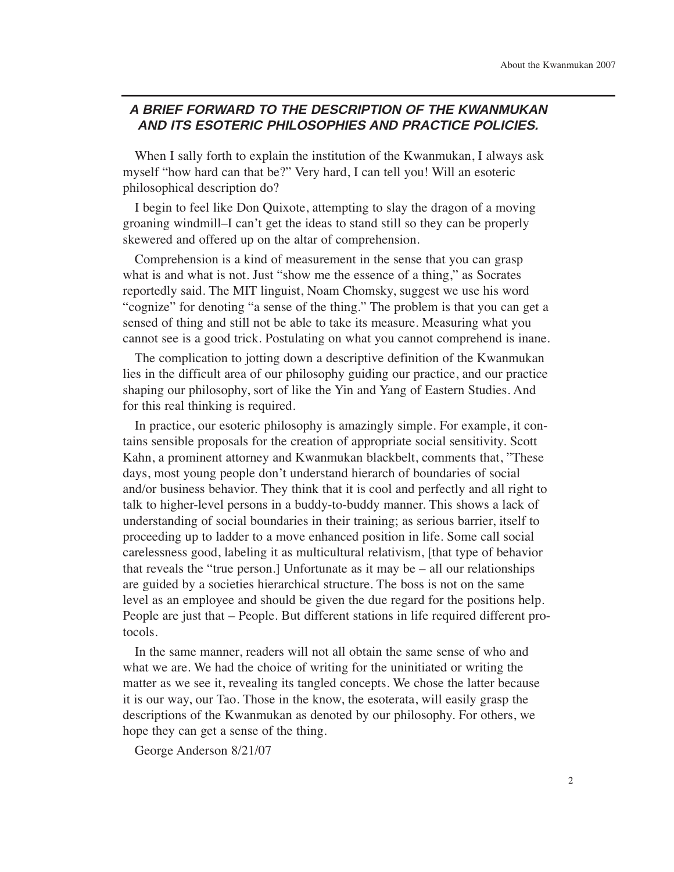# **A BRIEF FORWARD TO THE DESCRIPTION OF THE KWANMUKAN AND ITS ESOTERIC PHILOSOPHIES AND PRACTICE POLICIES.**

When I sally forth to explain the institution of the Kwanmukan, I always ask myself "how hard can that be?" Very hard, I can tell you! Will an esoteric philosophical description do?

I begin to feel like Don Quixote, attempting to slay the dragon of a moving groaning windmill–I can't get the ideas to stand still so they can be properly skewered and offered up on the altar of comprehension.

Comprehension is a kind of measurement in the sense that you can grasp what is and what is not. Just "show me the essence of a thing," as Socrates reportedly said. The MIT linguist, Noam Chomsky, suggest we use his word "cognize" for denoting "a sense of the thing." The problem is that you can get a sensed of thing and still not be able to take its measure. Measuring what you cannot see is a good trick. Postulating on what you cannot comprehend is inane.

The complication to jotting down a descriptive definition of the Kwanmukan lies in the difficult area of our philosophy guiding our practice, and our practice shaping our philosophy, sort of like the Yin and Yang of Eastern Studies. And for this real thinking is required.

In practice, our esoteric philosophy is amazingly simple. For example, it contains sensible proposals for the creation of appropriate social sensitivity. Scott Kahn, a prominent attorney and Kwanmukan blackbelt, comments that, "These days, most young people don't understand hierarch of boundaries of social and/or business behavior. They think that it is cool and perfectly and all right to talk to higher-level persons in a buddy-to-buddy manner. This shows a lack of understanding of social boundaries in their training; as serious barrier, itself to proceeding up to ladder to a move enhanced position in life. Some call social carelessness good, labeling it as multicultural relativism, [that type of behavior that reveals the "true person.] Unfortunate as it may be – all our relationships are guided by a societies hierarchical structure. The boss is not on the same level as an employee and should be given the due regard for the positions help. People are just that – People. But different stations in life required different protocols.

In the same manner, readers will not all obtain the same sense of who and what we are. We had the choice of writing for the uninitiated or writing the matter as we see it, revealing its tangled concepts. We chose the latter because it is our way, our Tao. Those in the know, the esoterata, will easily grasp the descriptions of the Kwanmukan as denoted by our philosophy. For others, we hope they can get a sense of the thing.

George Anderson 8/21/07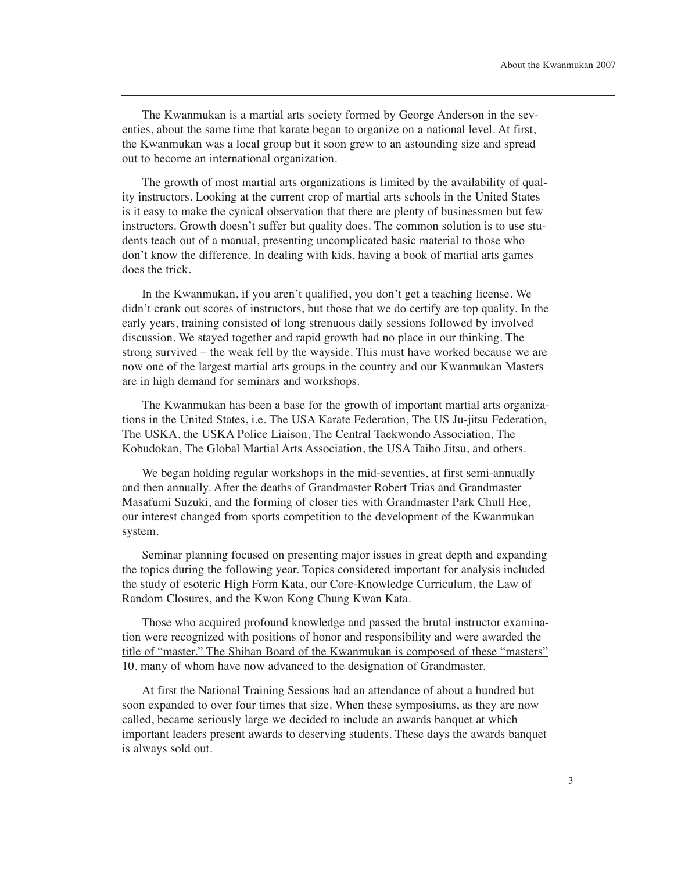The Kwanmukan is a martial arts society formed by George Anderson in the seventies, about the same time that karate began to organize on a national level. At first, the Kwanmukan was a local group but it soon grew to an astounding size and spread out to become an international organization.

The growth of most martial arts organizations is limited by the availability of quality instructors. Looking at the current crop of martial arts schools in the United States is it easy to make the cynical observation that there are plenty of businessmen but few instructors. Growth doesn't suffer but quality does. The common solution is to use students teach out of a manual, presenting uncomplicated basic material to those who don't know the difference. In dealing with kids, having a book of martial arts games does the trick.

In the Kwanmukan, if you aren't qualified, you don't get a teaching license. We didn't crank out scores of instructors, but those that we do certify are top quality. In the early years, training consisted of long strenuous daily sessions followed by involved discussion. We stayed together and rapid growth had no place in our thinking. The strong survived – the weak fell by the wayside. This must have worked because we are now one of the largest martial arts groups in the country and our Kwanmukan Masters are in high demand for seminars and workshops.

The Kwanmukan has been a base for the growth of important martial arts organizations in the United States, i.e. The USA Karate Federation, The US Ju-jitsu Federation, The USKA, the USKA Police Liaison, The Central Taekwondo Association, The Kobudokan, The Global Martial Arts Association, the USA Taiho Jitsu, and others.

We began holding regular workshops in the mid-seventies, at first semi-annually and then annually. After the deaths of Grandmaster Robert Trias and Grandmaster Masafumi Suzuki, and the forming of closer ties with Grandmaster Park Chull Hee, our interest changed from sports competition to the development of the Kwanmukan system.

Seminar planning focused on presenting major issues in great depth and expanding the topics during the following year. Topics considered important for analysis included the study of esoteric High Form Kata, our Core-Knowledge Curriculum, the Law of Random Closures, and the Kwon Kong Chung Kwan Kata.

Those who acquired profound knowledge and passed the brutal instructor examination were recognized with positions of honor and responsibility and were awarded the title of "master." The Shihan Board of the Kwanmukan is composed of these "masters" 10, many of whom have now advanced to the designation of Grandmaster.

At first the National Training Sessions had an attendance of about a hundred but soon expanded to over four times that size. When these symposiums, as they are now called, became seriously large we decided to include an awards banquet at which important leaders present awards to deserving students. These days the awards banquet is always sold out.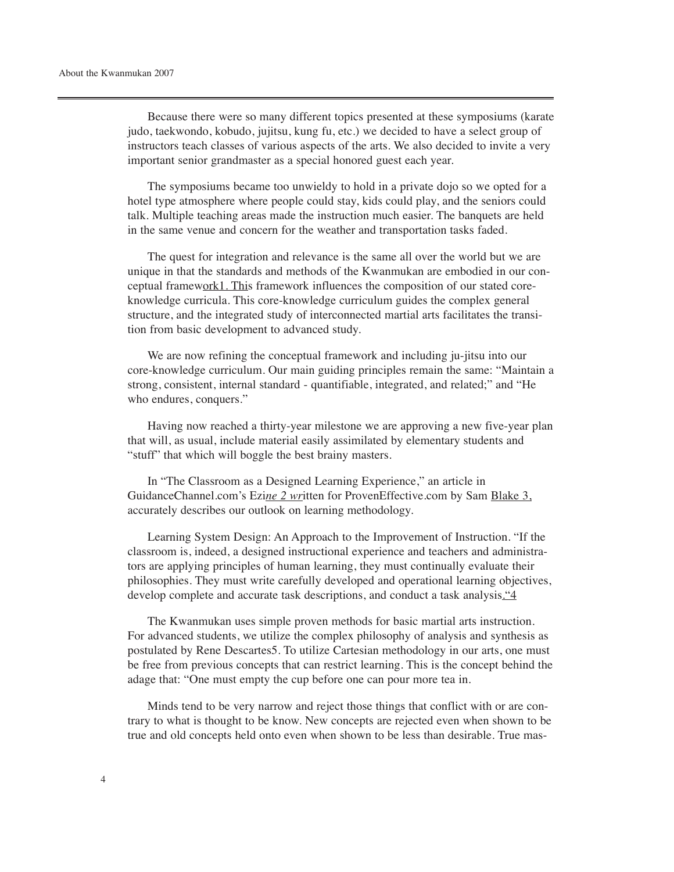Because there were so many different topics presented at these symposiums (karate judo, taekwondo, kobudo, jujitsu, kung fu, etc.) we decided to have a select group of instructors teach classes of various aspects of the arts. We also decided to invite a very important senior grandmaster as a special honored guest each year.

The symposiums became too unwieldy to hold in a private dojo so we opted for a hotel type atmosphere where people could stay, kids could play, and the seniors could talk. Multiple teaching areas made the instruction much easier. The banquets are held in the same venue and concern for the weather and transportation tasks faded.

The quest for integration and relevance is the same all over the world but we are unique in that the standards and methods of the Kwanmukan are embodied in our conceptual framework1. This framework influences the composition of our stated coreknowledge curricula. This core-knowledge curriculum guides the complex general structure, and the integrated study of interconnected martial arts facilitates the transition from basic development to advanced study.

We are now refining the conceptual framework and including ju-jitsu into our core-knowledge curriculum. Our main guiding principles remain the same: "Maintain a strong, consistent, internal standard - quantifiable, integrated, and related;" and "He who endures, conquers."

Having now reached a thirty-year milestone we are approving a new five-year plan that will, as usual, include material easily assimilated by elementary students and "stuff" that which will boggle the best brainy masters.

In "The Classroom as a Designed Learning Experience," an article in GuidanceChannel.com's Ezi*ne 2 wr*itten for ProvenEffective.com by Sam Blake 3, accurately describes our outlook on learning methodology.

Learning System Design: An Approach to the Improvement of Instruction. "If the classroom is, indeed, a designed instructional experience and teachers and administrators are applying principles of human learning, they must continually evaluate their philosophies. They must write carefully developed and operational learning objectives, develop complete and accurate task descriptions, and conduct a task analysis."4

The Kwanmukan uses simple proven methods for basic martial arts instruction. For advanced students, we utilize the complex philosophy of analysis and synthesis as postulated by Rene Descartes5. To utilize Cartesian methodology in our arts, one must be free from previous concepts that can restrict learning. This is the concept behind the adage that: "One must empty the cup before one can pour more tea in.

Minds tend to be very narrow and reject those things that conflict with or are contrary to what is thought to be know. New concepts are rejected even when shown to be true and old concepts held onto even when shown to be less than desirable. True mas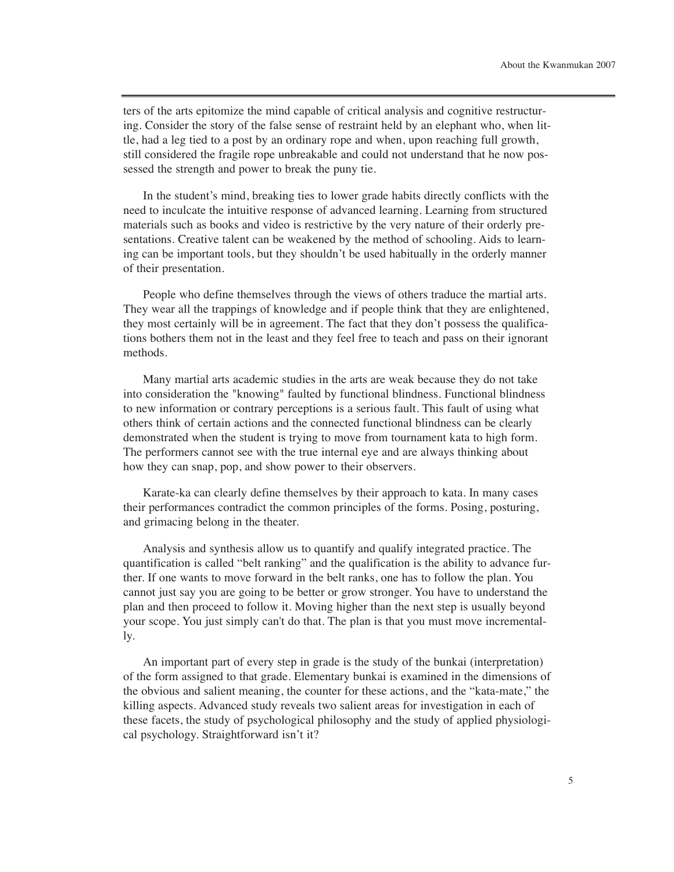ters of the arts epitomize the mind capable of critical analysis and cognitive restructuring. Consider the story of the false sense of restraint held by an elephant who, when little, had a leg tied to a post by an ordinary rope and when, upon reaching full growth, still considered the fragile rope unbreakable and could not understand that he now possessed the strength and power to break the puny tie.

In the student's mind, breaking ties to lower grade habits directly conflicts with the need to inculcate the intuitive response of advanced learning. Learning from structured materials such as books and video is restrictive by the very nature of their orderly presentations. Creative talent can be weakened by the method of schooling. Aids to learning can be important tools, but they shouldn't be used habitually in the orderly manner of their presentation.

People who define themselves through the views of others traduce the martial arts. They wear all the trappings of knowledge and if people think that they are enlightened, they most certainly will be in agreement. The fact that they don't possess the qualifications bothers them not in the least and they feel free to teach and pass on their ignorant methods.

Many martial arts academic studies in the arts are weak because they do not take into consideration the "knowing" faulted by functional blindness. Functional blindness to new information or contrary perceptions is a serious fault. This fault of using what others think of certain actions and the connected functional blindness can be clearly demonstrated when the student is trying to move from tournament kata to high form. The performers cannot see with the true internal eye and are always thinking about how they can snap, pop, and show power to their observers.

Karate-ka can clearly define themselves by their approach to kata. In many cases their performances contradict the common principles of the forms. Posing, posturing, and grimacing belong in the theater.

Analysis and synthesis allow us to quantify and qualify integrated practice. The quantification is called "belt ranking" and the qualification is the ability to advance further. If one wants to move forward in the belt ranks, one has to follow the plan. You cannot just say you are going to be better or grow stronger. You have to understand the plan and then proceed to follow it. Moving higher than the next step is usually beyond your scope. You just simply can't do that. The plan is that you must move incrementally.

An important part of every step in grade is the study of the bunkai (interpretation) of the form assigned to that grade. Elementary bunkai is examined in the dimensions of the obvious and salient meaning, the counter for these actions, and the "kata-mate," the killing aspects. Advanced study reveals two salient areas for investigation in each of these facets, the study of psychological philosophy and the study of applied physiological psychology. Straightforward isn't it?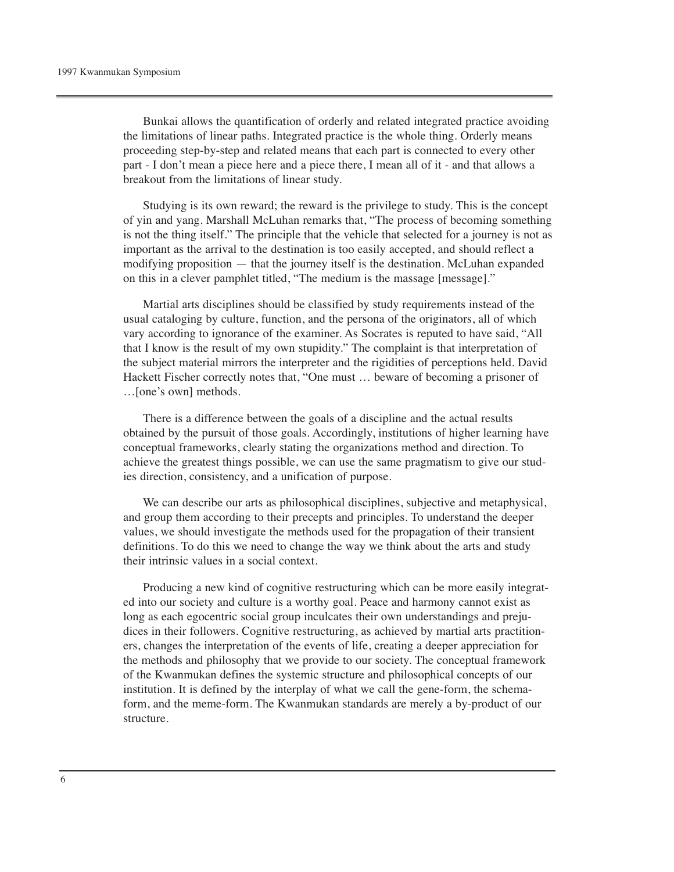Bunkai allows the quantification of orderly and related integrated practice avoiding the limitations of linear paths. Integrated practice is the whole thing. Orderly means proceeding step-by-step and related means that each part is connected to every other part - I don't mean a piece here and a piece there, I mean all of it - and that allows a breakout from the limitations of linear study.

Studying is its own reward; the reward is the privilege to study. This is the concept of yin and yang. Marshall McLuhan remarks that, "The process of becoming something is not the thing itself." The principle that the vehicle that selected for a journey is not as important as the arrival to the destination is too easily accepted, and should reflect a modifying proposition — that the journey itself is the destination. McLuhan expanded on this in a clever pamphlet titled, "The medium is the massage [message]."

Martial arts disciplines should be classified by study requirements instead of the usual cataloging by culture, function, and the persona of the originators, all of which vary according to ignorance of the examiner. As Socrates is reputed to have said, "All that I know is the result of my own stupidity." The complaint is that interpretation of the subject material mirrors the interpreter and the rigidities of perceptions held. David Hackett Fischer correctly notes that, "One must … beware of becoming a prisoner of …[one's own] methods.

There is a difference between the goals of a discipline and the actual results obtained by the pursuit of those goals. Accordingly, institutions of higher learning have conceptual frameworks, clearly stating the organizations method and direction. To achieve the greatest things possible, we can use the same pragmatism to give our studies direction, consistency, and a unification of purpose.

We can describe our arts as philosophical disciplines, subjective and metaphysical, and group them according to their precepts and principles. To understand the deeper values, we should investigate the methods used for the propagation of their transient definitions. To do this we need to change the way we think about the arts and study their intrinsic values in a social context.

Producing a new kind of cognitive restructuring which can be more easily integrated into our society and culture is a worthy goal. Peace and harmony cannot exist as long as each egocentric social group inculcates their own understandings and prejudices in their followers. Cognitive restructuring, as achieved by martial arts practitioners, changes the interpretation of the events of life, creating a deeper appreciation for the methods and philosophy that we provide to our society. The conceptual framework of the Kwanmukan defines the systemic structure and philosophical concepts of our institution. It is defined by the interplay of what we call the gene-form, the schemaform, and the meme-form. The Kwanmukan standards are merely a by-product of our structure.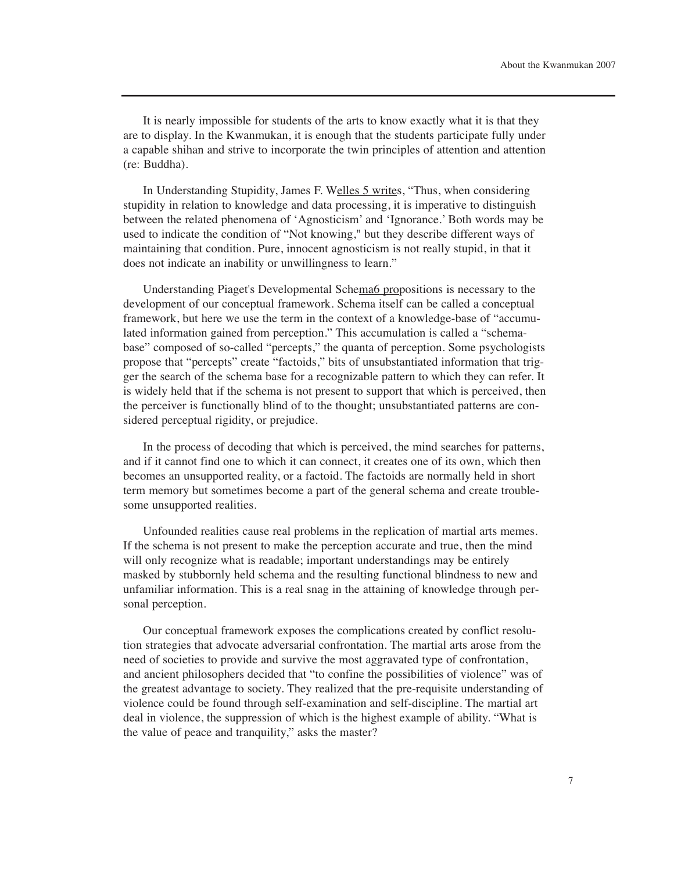It is nearly impossible for students of the arts to know exactly what it is that they are to display. In the Kwanmukan, it is enough that the students participate fully under a capable shihan and strive to incorporate the twin principles of attention and attention (re: Buddha).

In Understanding Stupidity, James F. Welles 5 writes, "Thus, when considering stupidity in relation to knowledge and data processing, it is imperative to distinguish between the related phenomena of 'Agnosticism' and 'Ignorance.' Both words may be used to indicate the condition of "Not knowing," but they describe different ways of maintaining that condition. Pure, innocent agnosticism is not really stupid, in that it does not indicate an inability or unwillingness to learn."

Understanding Piaget's Developmental Schema6 propositions is necessary to the development of our conceptual framework. Schema itself can be called a conceptual framework, but here we use the term in the context of a knowledge-base of "accumulated information gained from perception." This accumulation is called a "schemabase" composed of so-called "percepts," the quanta of perception. Some psychologists propose that "percepts" create "factoids," bits of unsubstantiated information that trigger the search of the schema base for a recognizable pattern to which they can refer. It is widely held that if the schema is not present to support that which is perceived, then the perceiver is functionally blind of to the thought; unsubstantiated patterns are considered perceptual rigidity, or prejudice.

In the process of decoding that which is perceived, the mind searches for patterns, and if it cannot find one to which it can connect, it creates one of its own, which then becomes an unsupported reality, or a factoid. The factoids are normally held in short term memory but sometimes become a part of the general schema and create troublesome unsupported realities.

Unfounded realities cause real problems in the replication of martial arts memes. If the schema is not present to make the perception accurate and true, then the mind will only recognize what is readable; important understandings may be entirely masked by stubbornly held schema and the resulting functional blindness to new and unfamiliar information. This is a real snag in the attaining of knowledge through personal perception.

Our conceptual framework exposes the complications created by conflict resolution strategies that advocate adversarial confrontation. The martial arts arose from the need of societies to provide and survive the most aggravated type of confrontation, and ancient philosophers decided that "to confine the possibilities of violence" was of the greatest advantage to society. They realized that the pre-requisite understanding of violence could be found through self-examination and self-discipline. The martial art deal in violence, the suppression of which is the highest example of ability. "What is the value of peace and tranquility," asks the master?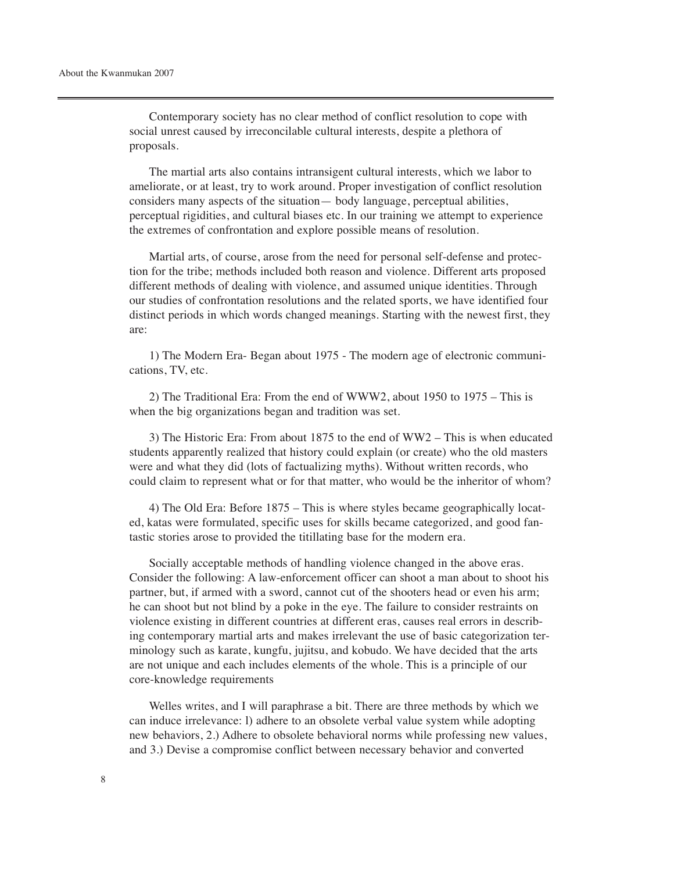Contemporary society has no clear method of conflict resolution to cope with social unrest caused by irreconcilable cultural interests, despite a plethora of proposals.

The martial arts also contains intransigent cultural interests, which we labor to ameliorate, or at least, try to work around. Proper investigation of conflict resolution considers many aspects of the situation— body language, perceptual abilities, perceptual rigidities, and cultural biases etc. In our training we attempt to experience the extremes of confrontation and explore possible means of resolution.

Martial arts, of course, arose from the need for personal self-defense and protection for the tribe; methods included both reason and violence. Different arts proposed different methods of dealing with violence, and assumed unique identities. Through our studies of confrontation resolutions and the related sports, we have identified four distinct periods in which words changed meanings. Starting with the newest first, they are:

1) The Modern Era- Began about 1975 - The modern age of electronic communications, TV, etc.

2) The Traditional Era: From the end of WWW2, about 1950 to 1975 – This is when the big organizations began and tradition was set.

3) The Historic Era: From about 1875 to the end of WW2 – This is when educated students apparently realized that history could explain (or create) who the old masters were and what they did (lots of factualizing myths). Without written records, who could claim to represent what or for that matter, who would be the inheritor of whom?

4) The Old Era: Before 1875 – This is where styles became geographically located, katas were formulated, specific uses for skills became categorized, and good fantastic stories arose to provided the titillating base for the modern era.

Socially acceptable methods of handling violence changed in the above eras. Consider the following: A law-enforcement officer can shoot a man about to shoot his partner, but, if armed with a sword, cannot cut of the shooters head or even his arm; he can shoot but not blind by a poke in the eye. The failure to consider restraints on violence existing in different countries at different eras, causes real errors in describing contemporary martial arts and makes irrelevant the use of basic categorization terminology such as karate, kungfu, jujitsu, and kobudo. We have decided that the arts are not unique and each includes elements of the whole. This is a principle of our core-knowledge requirements

Welles writes, and I will paraphrase a bit. There are three methods by which we can induce irrelevance: l) adhere to an obsolete verbal value system while adopting new behaviors, 2.) Adhere to obsolete behavioral norms while professing new values, and 3.) Devise a compromise conflict between necessary behavior and converted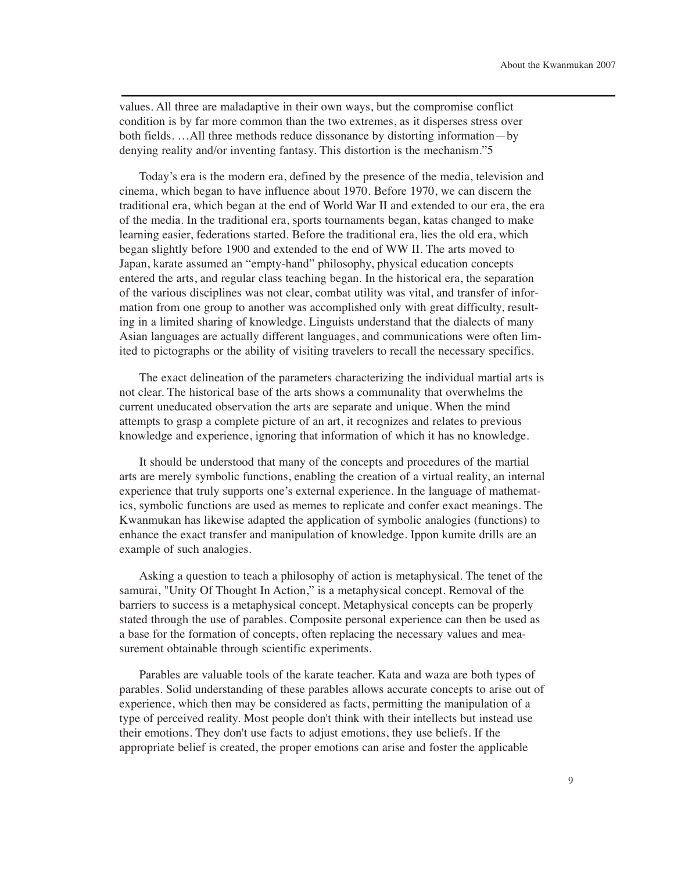values. All three are maladaptive in their own ways, but the compromise conflict condition is by far more common than the two extremes, as it disperses stress over both fields. …All three methods reduce dissonance by distorting information—by denying reality and/or inventing fantasy. This distortion is the mechanism."5

Today's era is the modern era, defined by the presence of the media, television and cinema, which began to have influence about 1970. Before 1970, we can discern the traditional era, which began at the end of World War II and extended to our era, the era of the media. In the traditional era, sports tournaments began, katas changed to make learning easier, federations started. Before the traditional era, lies the old era, which began slightly before 1900 and extended to the end of WW II. The arts moved to Japan, karate assumed an "empty-hand" philosophy, physical education concepts entered the arts, and regular class teaching began. In the historical era, the separation of the various disciplines was not clear, combat utility was vital, and transfer of information from one group to another was accomplished only with great difficulty, resulting in a limited sharing of knowledge. Linguists understand that the dialects of many Asian languages are actually different languages, and communications were often limited to pictographs or the ability of visiting travelers to recall the necessary specifics.

The exact delineation of the parameters characterizing the individual martial arts is not clear. The historical base of the arts shows a communality that overwhelms the current uneducated observation the arts are separate and unique. When the mind attempts to grasp a complete picture of an art, it recognizes and relates to previous knowledge and experience, ignoring that information of which it has no knowledge.

It should be understood that many of the concepts and procedures of the martial arts are merely symbolic functions, enabling the creation of a virtual reality, an internal experience that truly supports one's external experience. In the language of mathematics, symbolic functions are used as memes to replicate and confer exact meanings. The Kwanmukan has likewise adapted the application of symbolic analogies (functions) to enhance the exact transfer and manipulation of knowledge. Ippon kumite drills are an example of such analogies.

Asking a question to teach a philosophy of action is metaphysical. The tenet of the samurai, "Unity Of Thought In Action," is a metaphysical concept. Removal of the barriers to success is a metaphysical concept. Metaphysical concepts can be properly stated through the use of parables. Composite personal experience can then be used as a base for the formation of concepts, often replacing the necessary values and measurement obtainable through scientific experiments.

Parables are valuable tools of the karate teacher. Kata and waza are both types of parables. Solid understanding of these parables allows accurate concepts to arise out of experience, which then may be considered as facts, permitting the manipulation of a type of perceived reality. Most people don't think with their intellects but instead use their emotions. They don't use facts to adjust emotions, they use beliefs. If the appropriate belief is created, the proper emotions can arise and foster the applicable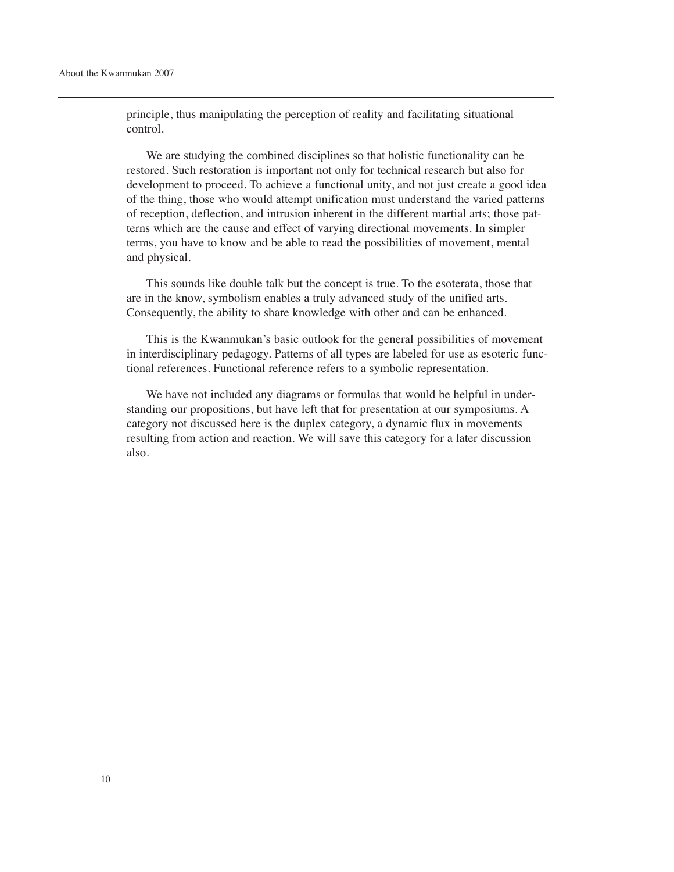principle, thus manipulating the perception of reality and facilitating situational control.

We are studying the combined disciplines so that holistic functionality can be restored. Such restoration is important not only for technical research but also for development to proceed. To achieve a functional unity, and not just create a good idea of the thing, those who would attempt unification must understand the varied patterns of reception, deflection, and intrusion inherent in the different martial arts; those patterns which are the cause and effect of varying directional movements. In simpler terms, you have to know and be able to read the possibilities of movement, mental and physical.

This sounds like double talk but the concept is true. To the esoterata, those that are in the know, symbolism enables a truly advanced study of the unified arts. Consequently, the ability to share knowledge with other and can be enhanced.

This is the Kwanmukan's basic outlook for the general possibilities of movement in interdisciplinary pedagogy. Patterns of all types are labeled for use as esoteric functional references. Functional reference refers to a symbolic representation.

We have not included any diagrams or formulas that would be helpful in understanding our propositions, but have left that for presentation at our symposiums. A category not discussed here is the duplex category, a dynamic flux in movements resulting from action and reaction. We will save this category for a later discussion also.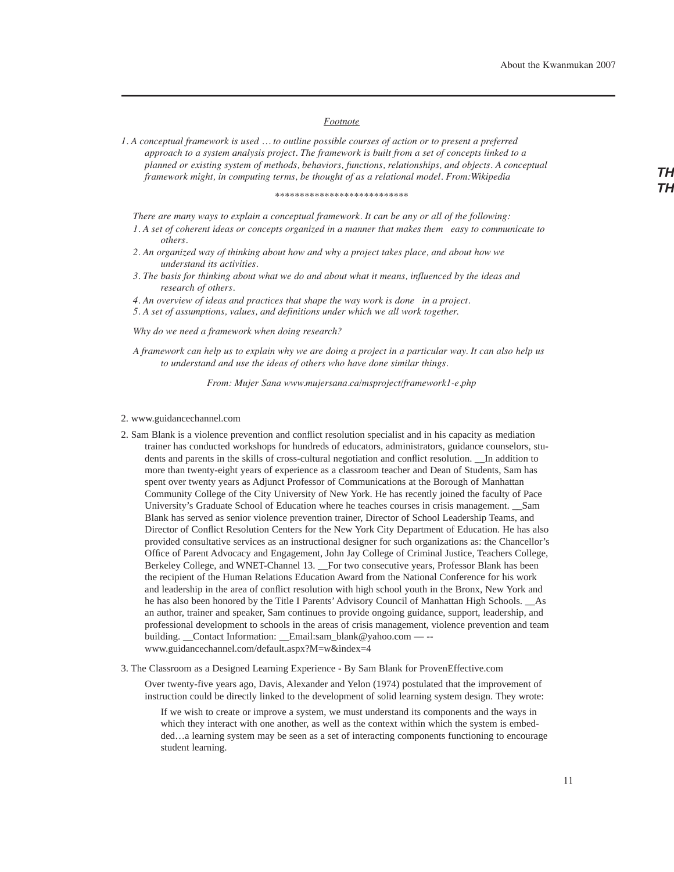## *Footnote*

*1. A conceptual framework is used … to outline possible courses of action or to present a preferred approach to a system analysis project. The framework is built from a set of concepts linked to a planned or existing system of methods, behaviors, functions, relationships, and objects. A conceptual framework might, in computing terms, be thought of as a relational model. From:Wikipedia*

#### *\*\*\*\*\*\*\*\*\*\*\*\*\*\*\*\*\*\*\*\*\*\*\*\*\*\*\**

*There are many ways to explain a conceptual framework. It can be any or all of the following:*

*1. A set of coherent ideas or concepts organized in a manner that makes them easy to communicate to others.*

- *2. An organized way of thinking about how and why a project takes place, and about how we understand its activities.*
- *3. The basis for thinking about what we do and about what it means, influenced by the ideas and research of others.*

*4. An overview of ideas and practices that shape the way work is done in a project.*

*5. A set of assumptions, values, and definitions under which we all work together.*

*Why do we need a framework when doing research?*

*A framework can help us to explain why we are doing a project in a particular way. It can also help us to understand and use the ideas of others who have done similar things.*

*From: Mujer Sana www.mujersana.ca/msproject/framework1-e.php*

#### 2. www.guidancechannel.com

- 2. Sam Blank is a violence prevention and conflict resolution specialist and in his capacity as mediation trainer has conducted workshops for hundreds of educators, administrators, guidance counselors, students and parents in the skills of cross-cultural negotiation and conflict resolution. \_\_In addition to more than twenty-eight years of experience as a classroom teacher and Dean of Students, Sam has spent over twenty years as Adjunct Professor of Communications at the Borough of Manhattan Community College of the City University of New York. He has recently joined the faculty of Pace University's Graduate School of Education where he teaches courses in crisis management. \_\_Sam Blank has served as senior violence prevention trainer, Director of School Leadership Teams, and Director of Conflict Resolution Centers for the New York City Department of Education. He has also provided consultative services as an instructional designer for such organizations as: the Chancellor's Office of Parent Advocacy and Engagement, John Jay College of Criminal Justice, Teachers College, Berkeley College, and WNET-Channel 13. \_\_For two consecutive years, Professor Blank has been the recipient of the Human Relations Education Award from the National Conference for his work and leadership in the area of conflict resolution with high school youth in the Bronx, New York and he has also been honored by the Title I Parents' Advisory Council of Manhattan High Schools. \_\_As an author, trainer and speaker, Sam continues to provide ongoing guidance, support, leadership, and professional development to schools in the areas of crisis management, violence prevention and team building. Contact Information: Email:sam\_blank@yahoo.com — -www.guidancechannel.com/default.aspx?M=w&index=4
- 3. The Classroom as a Designed Learning Experience By Sam Blank for ProvenEffective.com

Over twenty-five years ago, Davis, Alexander and Yelon (1974) postulated that the improvement of instruction could be directly linked to the development of solid learning system design. They wrote:

If we wish to create or improve a system, we must understand its components and the ways in which they interact with one another, as well as the context within which the system is embedded…a learning system may be seen as a set of interacting components functioning to encourage student learning.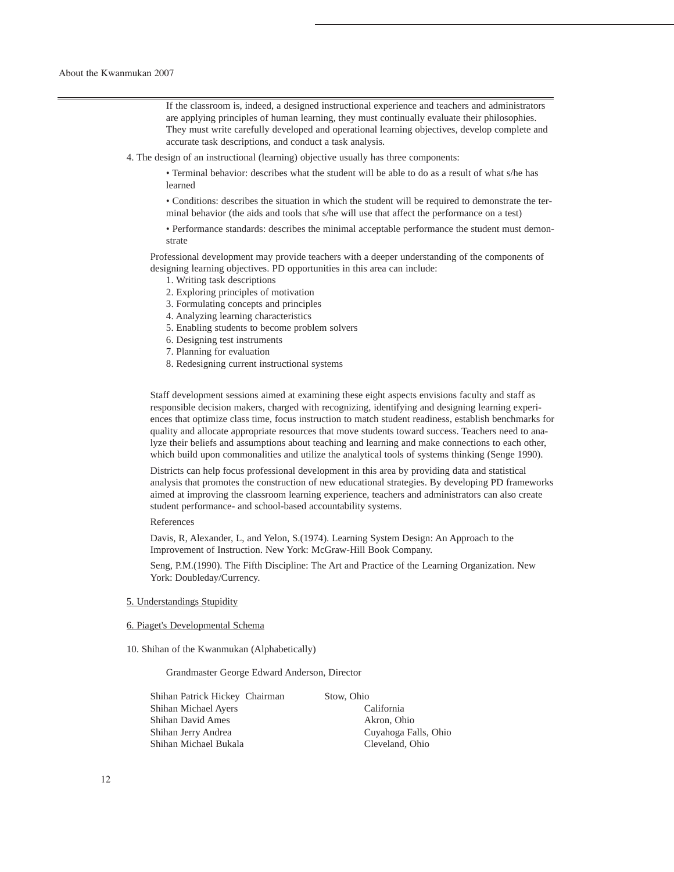If the classroom is, indeed, a designed instructional experience and teachers and administrators are applying principles of human learning, they must continually evaluate their philosophies. They must write carefully developed and operational learning objectives, develop complete and accurate task descriptions, and conduct a task analysis.

4. The design of an instructional (learning) objective usually has three components:

• Terminal behavior: describes what the student will be able to do as a result of what s/he has learned

• Conditions: describes the situation in which the student will be required to demonstrate the terminal behavior (the aids and tools that s/he will use that affect the performance on a test)

• Performance standards: describes the minimal acceptable performance the student must demonstrate

Professional development may provide teachers with a deeper understanding of the components of designing learning objectives. PD opportunities in this area can include:

1. Writing task descriptions

- 2. Exploring principles of motivation
- 3. Formulating concepts and principles
- 4. Analyzing learning characteristics
- 5. Enabling students to become problem solvers
- 6. Designing test instruments
- 7. Planning for evaluation
- 8. Redesigning current instructional systems

Staff development sessions aimed at examining these eight aspects envisions faculty and staff as responsible decision makers, charged with recognizing, identifying and designing learning experiences that optimize class time, focus instruction to match student readiness, establish benchmarks for quality and allocate appropriate resources that move students toward success. Teachers need to analyze their beliefs and assumptions about teaching and learning and make connections to each other, which build upon commonalities and utilize the analytical tools of systems thinking (Senge 1990).

Districts can help focus professional development in this area by providing data and statistical analysis that promotes the construction of new educational strategies. By developing PD frameworks aimed at improving the classroom learning experience, teachers and administrators can also create student performance- and school-based accountability systems.

References

Davis, R, Alexander, L, and Yelon, S.(1974). Learning System Design: An Approach to the Improvement of Instruction. New York: McGraw-Hill Book Company.

Seng, P.M.(1990). The Fifth Discipline: The Art and Practice of the Learning Organization. New York: Doubleday/Currency.

#### 5. Understandings Stupidity

## 6. Piaget's Developmental Schema

10. Shihan of the Kwanmukan (Alphabetically)

Grandmaster George Edward Anderson, Director

Shihan Patrick Hickey Chairman Stow, Ohio Shihan Michael Ayers California Shihan David Ames Akron, Ohio Shihan Jerry Andrea Cuyahoga Falls, Ohio Shihan Michael Bukala Cleveland, Ohio